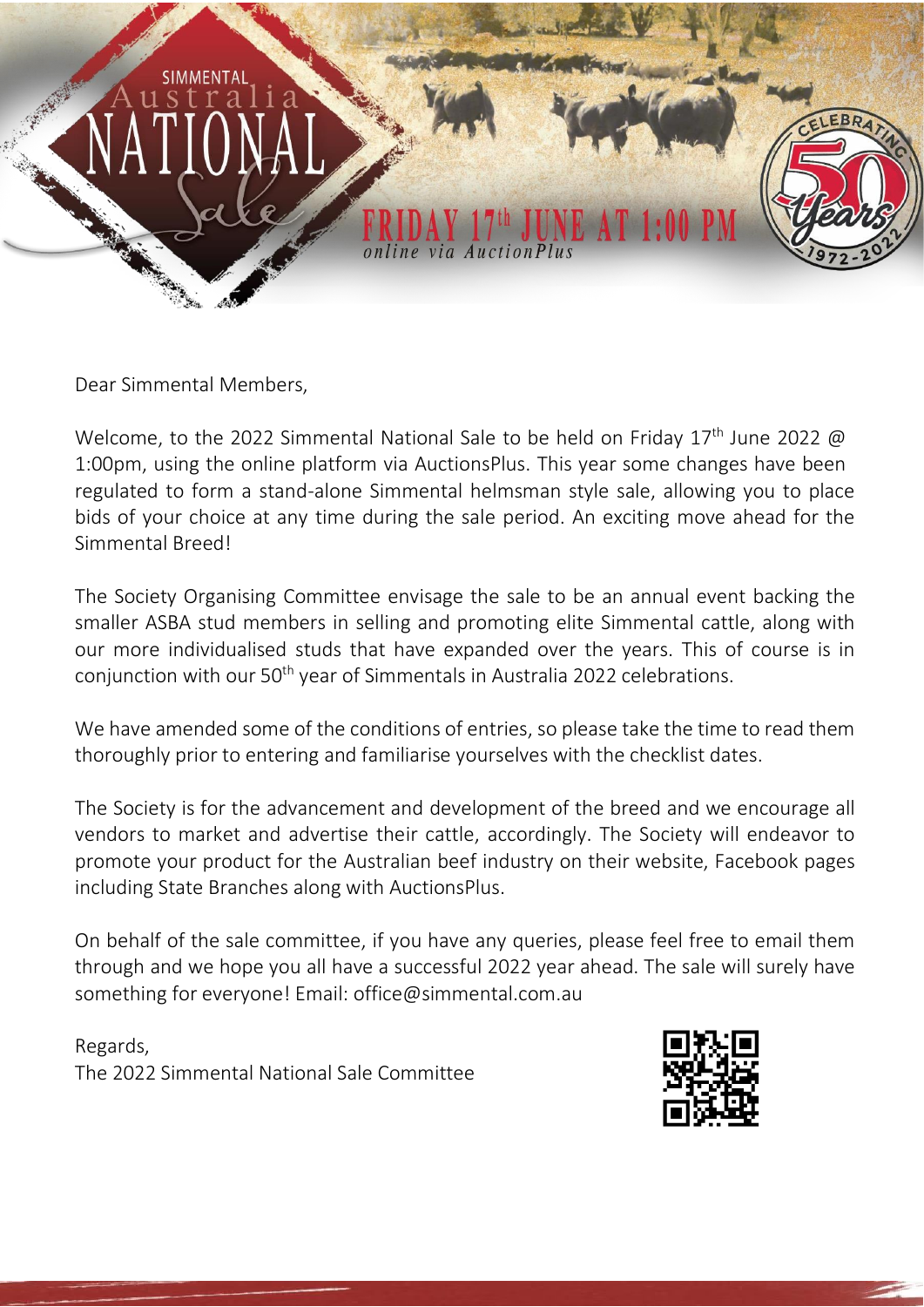

Dear Simmental Members,

Welcome, to the 2022 Simmental National Sale to be held on Friday  $17<sup>th</sup>$  June 2022 @ 1:00pm, using the online platform via AuctionsPlus. This year some changes have been regulated to form a stand-alone Simmental helmsman style sale, allowing you to place bids of your choice at any time during the sale period. An exciting move ahead for the Simmental Breed!

The Society Organising Committee envisage the sale to be an annual event backing the smaller ASBA stud members in selling and promoting elite Simmental cattle, along with our more individualised studs that have expanded over the years. This of course is in conjunction with our 50<sup>th</sup> year of Simmentals in Australia 2022 celebrations.

We have amended some of the conditions of entries, so please take the time to read them thoroughly prior to entering and familiarise yourselves with the checklist dates.

The Society is for the advancement and development of the breed and we encourage all vendors to market and advertise their cattle, accordingly. The Society will endeavor to promote your product for the Australian beef industry on their website, Facebook pages including State Branches along with AuctionsPlus.

On behalf of the sale committee, if you have any queries, please feel free to email them through and we hope you all have a successful 2022 year ahead. The sale will surely have something for everyone! Ema[il: office@simmental.com.au](mailto:office@simmental.com.au)

Regards, The 2022 Simmental National Sale Committee

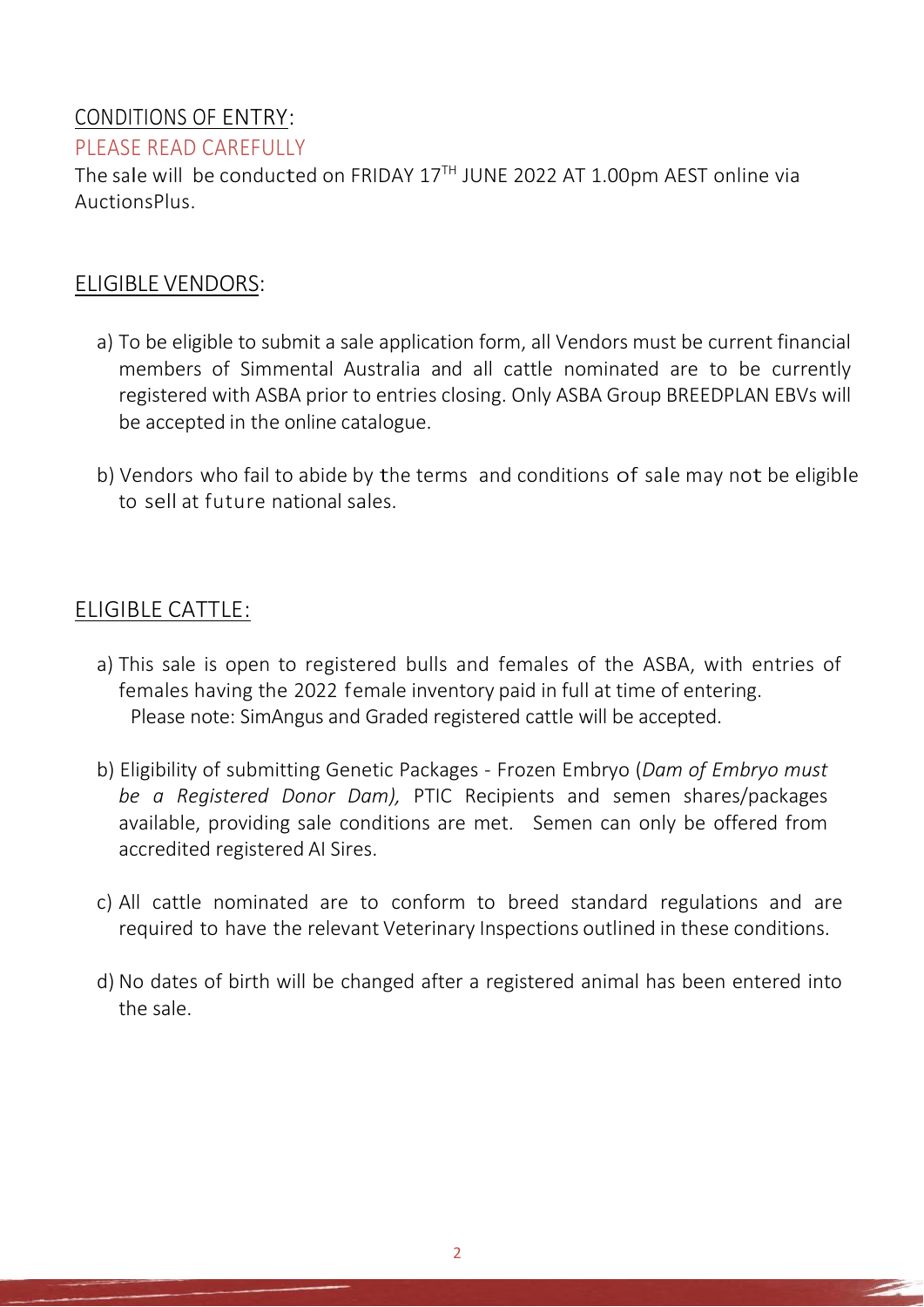# CONDITIONS OF ENTRY:

#### PLEASE READ CAREFULLY

The sale will be conducted on FRIDAY  $17^{\text{TH}}$  JUNE 2022 AT  $1.00$ pm AEST online via AuctionsPlus.

## ELIGIBLE VENDORS:

- a) To be eligible to submit a sale application form, all Vendors must be current financial members of Simmental Australia and all cattle nominated are to be currently registered with ASBA prior to entries closing. Only ASBA Group BREEDPLAN EBVs will be accepted in the online catalogue.
- b) Vendors who fail to abide by the terms and conditions of sale may not be eligible to sell at future national sales.

## ELIGIBLE CATTLE:

- a) This sale is open to registered bulls and females of the ASBA, with entries of females having the 2022 female inventory paid in full at time of entering. Please note: SimAngus and Graded registered cattle will be accepted.
- b) Eligibility of submitting Genetic Packages Frozen Embryo (*Dam of Embryo must be a Registered Donor Dam),* PTIC Recipients and semen shares/packages available, providing sale conditions are met. Semen can only be offered from accredited registered AI Sires.
- c) All cattle nominated are to conform to breed standard regulations and are required to have the relevant Veterinary Inspections outlined in these conditions.
- d) No dates of birth will be changed after a registered animal has been entered into the sale.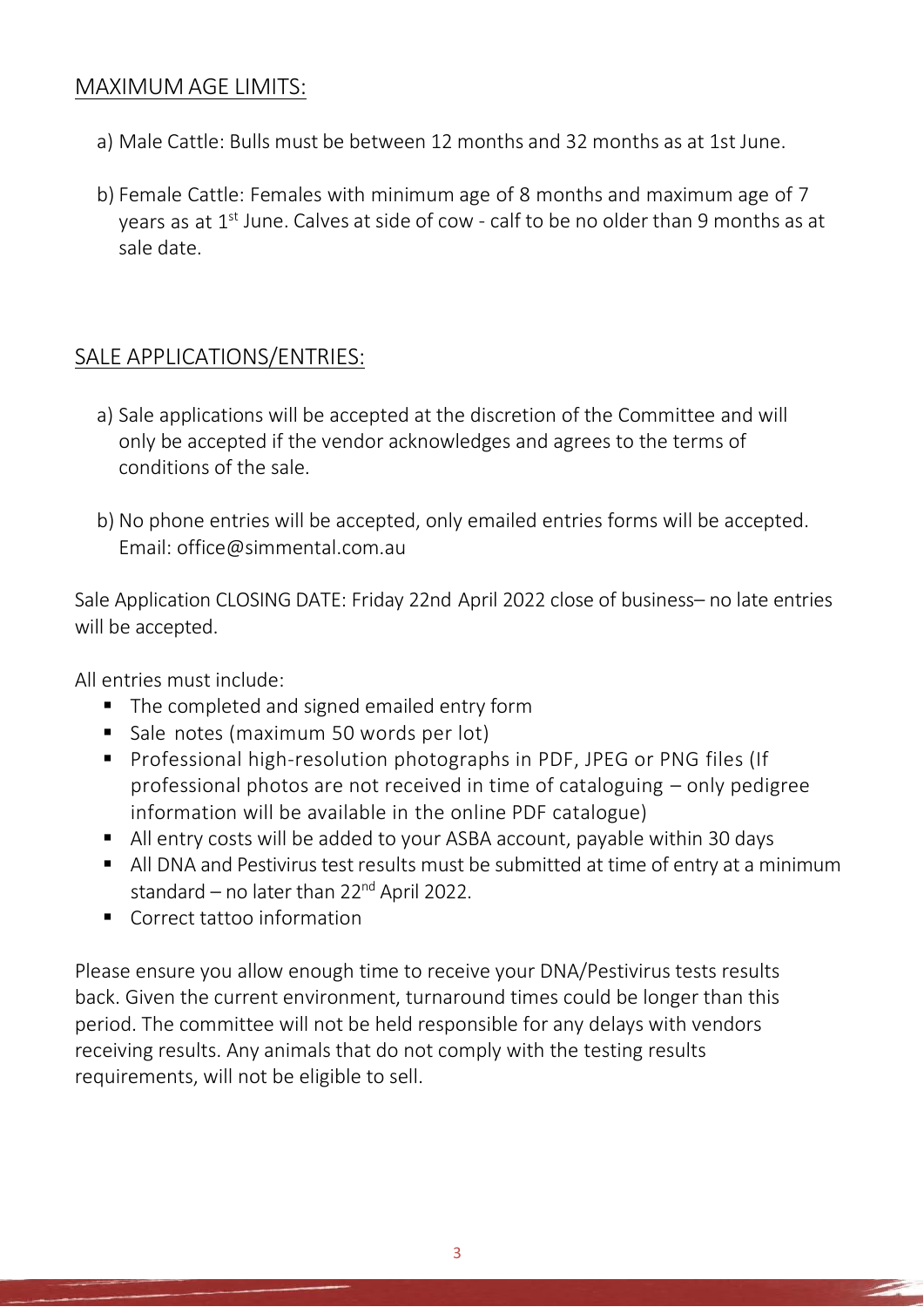## MAXIMUM AGE LIMITS:

- a) Male Cattle: Bulls must be between 12 months and 32 months as at 1st June.
- b) Female Cattle: Females with minimum age of 8 months and maximum age of 7 years as at 1<sup>st</sup> June. Calves at side of cow - calf to be no older than 9 months as at sale date.

## SALE APPLICATIONS/ENTRIES:

- a) Sale applications will be accepted at the discretion of the Committee and will only be accepted if the vendor acknowledges and agrees to the terms of conditions of the sale.
- b) No phone entries will be accepted, only emailed entries forms will be accepted. Emai[l: office@simmental.com.au](mailto:office@simmental.com.au)

Sale Application CLOSING DATE: Friday 22nd April 2022 close of business– no late entries will be accepted.

All entries must include:

- The completed and signed emailed entry form
- Sale notes (maximum 50 words per lot)
- Professional high-resolution photographs in PDF, JPEG or PNG files (If professional photos are not received in time of cataloguing – only pedigree information will be available in the online PDF catalogue)
- All entry costs will be added to your ASBA account, payable within 30 days
- All DNA and Pestivirus test results must be submitted at time of entry at a minimum standard – no later than  $22^{nd}$  April 2022.
- Correct tattoo information

Please ensure you allow enough time to receive your DNA/Pestivirus tests results back. Given the current environment, turnaround times could be longer than this period. The committee will not be held responsible for any delays with vendors receiving results. Any animals that do not comply with the testing results requirements, will not be eligible to sell.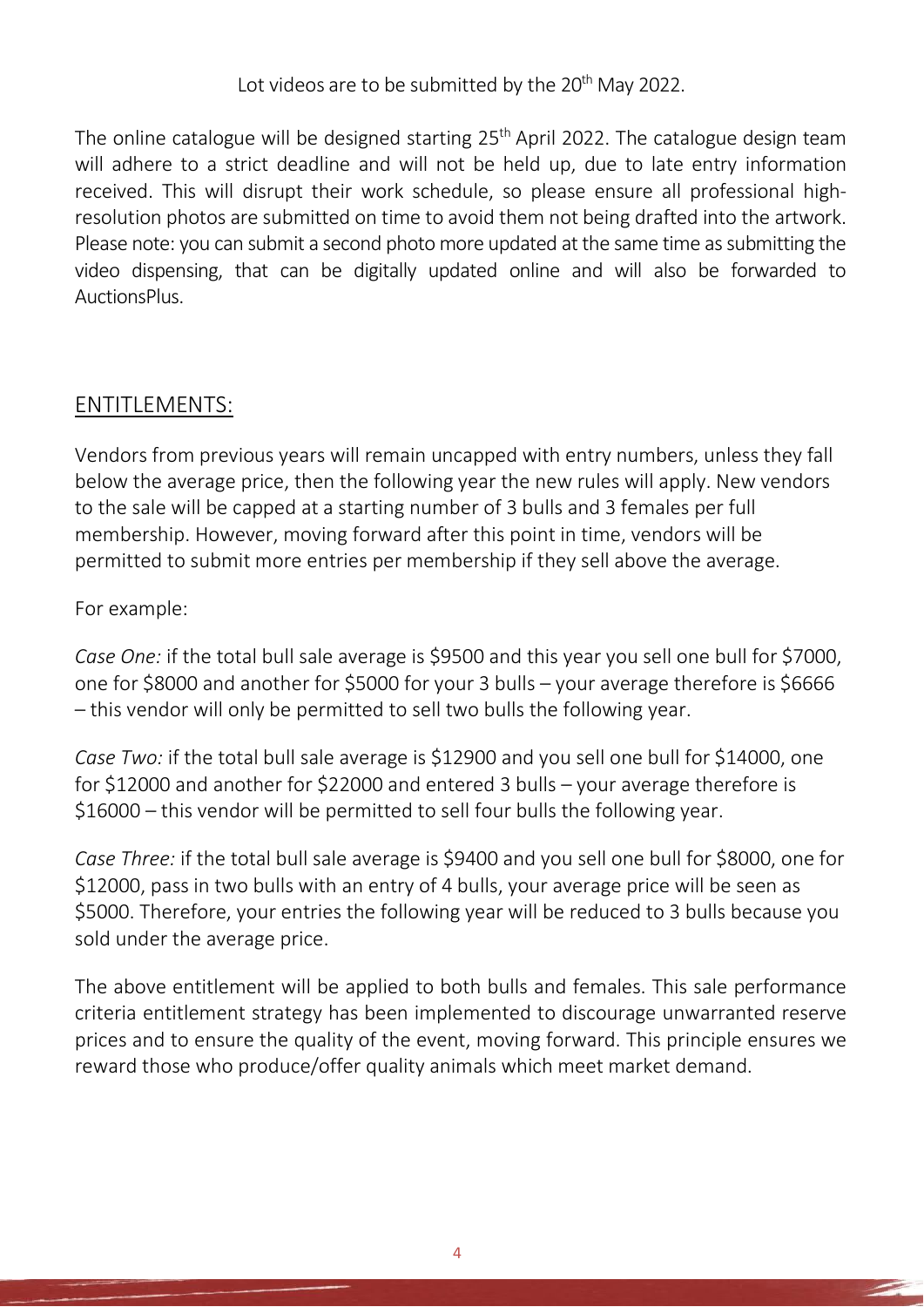Lot videos are to be submitted by the 20<sup>th</sup> May 2022.

The online catalogue will be designed starting  $25<sup>th</sup>$  April 2022. The catalogue design team will adhere to a strict deadline and will not be held up, due to late entry information received. This will disrupt their work schedule, so please ensure all professional highresolution photos are submitted on time to avoid them not being drafted into the artwork. Please note: you can submit a second photo more updated at the same time as submitting the video dispensing, that can be digitally updated online and will also be forwarded to AuctionsPlus.

## ENTITLEMENTS:

Vendors from previous years will remain uncapped with entry numbers, unless they fall below the average price, then the following year the new rules will apply. New vendors to the sale will be capped at a starting number of 3 bulls and 3 females per full membership. However, moving forward after this point in time, vendors will be permitted to submit more entries per membership if they sell above the average.

#### For example:

*Case One:* if the total bull sale average is \$9500 and this year you sell one bull for \$7000, one for \$8000 and another for \$5000 for your 3 bulls – your average therefore is \$6666 – this vendor will only be permitted to sell two bulls the following year.

*Case Two:* if the total bull sale average is \$12900 and you sell one bull for \$14000, one for \$12000 and another for \$22000 and entered 3 bulls – your average therefore is \$16000 – this vendor will be permitted to sell four bulls the following year.

*Case Three:* if the total bull sale average is \$9400 and you sell one bull for \$8000, one for \$12000, pass in two bulls with an entry of 4 bulls, your average price will be seen as \$5000. Therefore, your entries the following year will be reduced to 3 bulls because you sold under the average price.

The above entitlement will be applied to both bulls and females. This sale performance criteria entitlement strategy has been implemented to discourage unwarranted reserve prices and to ensure the quality of the event, moving forward. This principle ensures we reward those who produce/offer quality animals which meet market demand.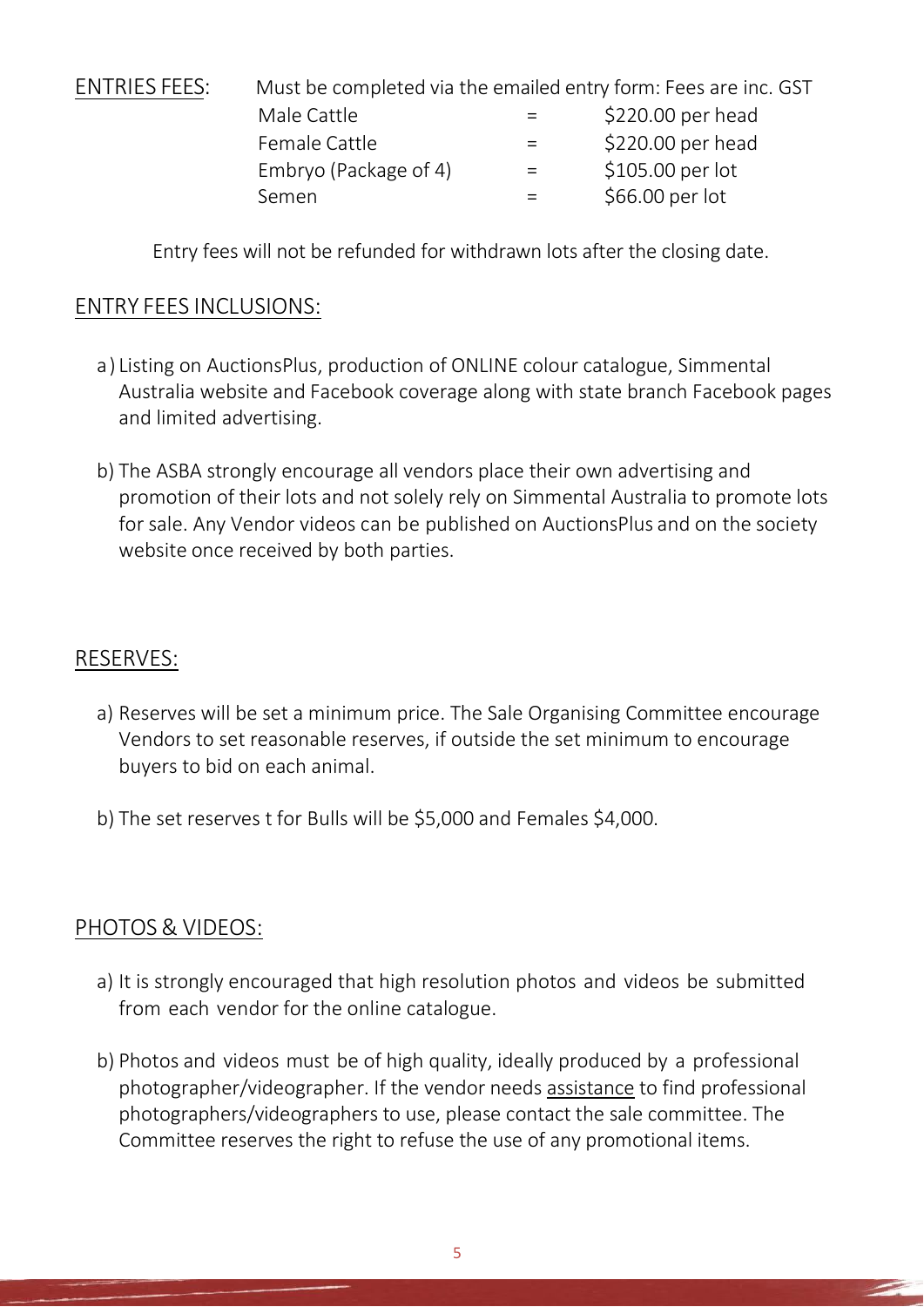| <b>ENTRIES FEES:</b> | Must be completed via the emailed entry form: Fees are inc. GST |     |                   |  |
|----------------------|-----------------------------------------------------------------|-----|-------------------|--|
|                      | Male Cattle                                                     |     | \$220.00 per head |  |
|                      | Female Cattle                                                   |     | \$220.00 per head |  |
|                      | Embryo (Package of 4)                                           | $=$ | \$105.00 per lot  |  |
|                      | Semen                                                           |     | \$66.00 per lot   |  |
|                      |                                                                 |     |                   |  |

Entry fees will not be refunded for withdrawn lots after the closing date.

### ENTRY FEES INCLUSIONS:

- a) Listing on AuctionsPlus, production of ONLINE colour catalogue, Simmental Australia website and Facebook coverage along with state branch Facebook pages and limited advertising.
- b) The ASBA strongly encourage all vendors place their own advertising and promotion of their lots and not solely rely on Simmental Australia to promote lots for sale. Any Vendor videos can be published on AuctionsPlus and on the society website once received by both parties.

### RESERVES:

- a) Reserves will be set a minimum price. The Sale Organising Committee encourage Vendors to set reasonable reserves, if outside the set minimum to encourage buyers to bid on each animal.
- b) The set reserves t for Bulls will be \$5,000 and Females \$4,000.

### PHOTOS& VIDEOS:

- a) It is strongly encouraged that high resolution photos and videos be submitted from each vendor for the online catalogue.
- b) Photos and videos must be of high quality, ideally produced by a professional photographer/videographer. If the vendor needs assistance to find professional photographers/videographers to use, please contact the sale committee. The Committee reserves the right to refuse the use of any promotional items.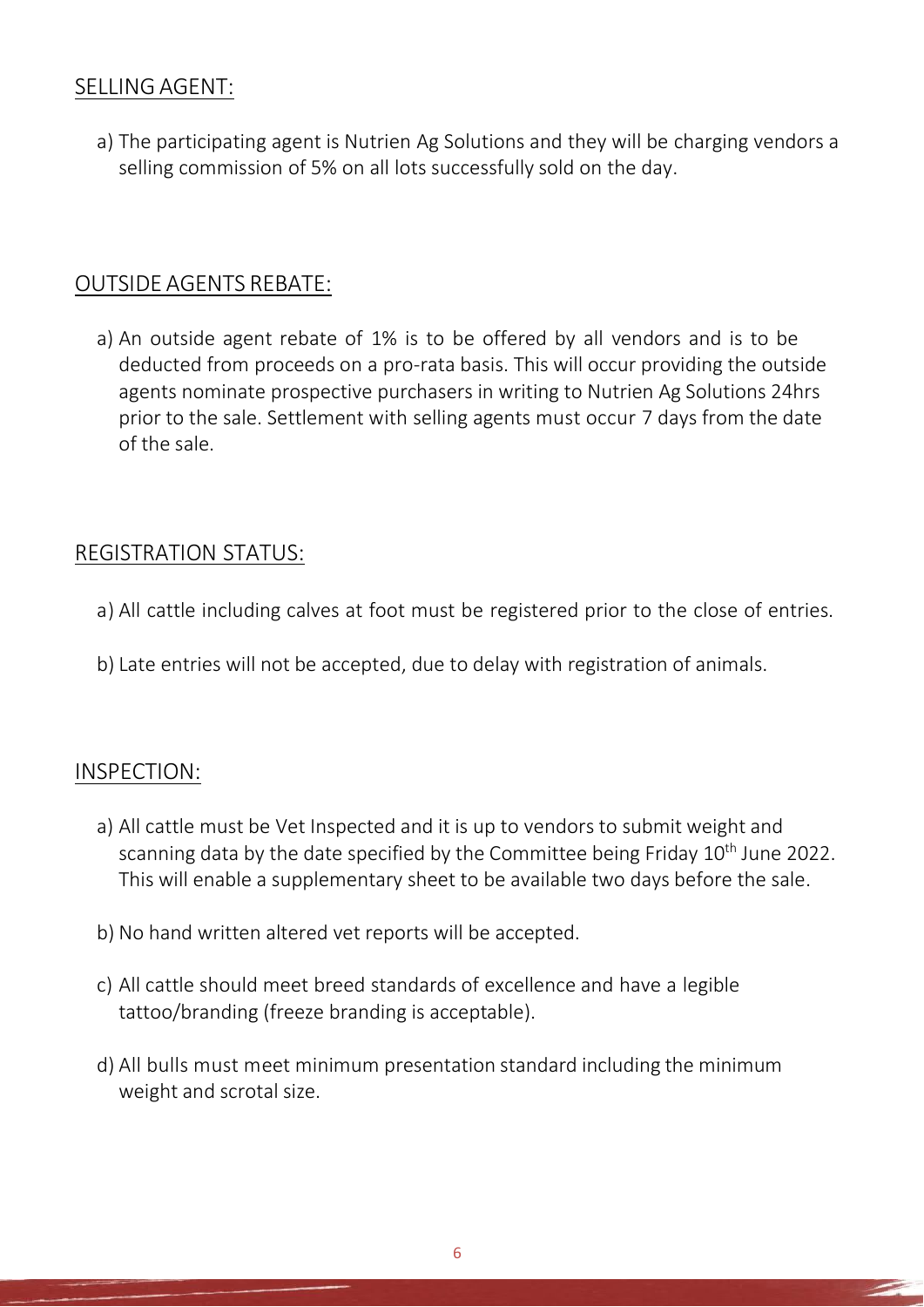## SELLING AGENT:

a) The participating agent is Nutrien Ag Solutions and they will be charging vendors a selling commission of 5% on all lots successfully sold on the day.

## OUTSIDE AGENTS REBATE:

a) An outside agent rebate of 1% is to be offered by all vendors and is to be deducted from proceeds on a pro-rata basis. This will occur providing the outside agents nominate prospective purchasers in writing to Nutrien Ag Solutions 24hrs prior to the sale. Settlement with selling agents must occur 7 days from the date of the sale.

## REGISTRATION STATUS:

- a) All cattle including calves at foot must be registered prior to the close of entries.
- b) Late entries will not be accepted, due to delay with registration of animals.

## INSPECTION:

- a) All cattle must be Vet Inspected and it is up to vendors to submit weight and scanning data by the date specified by the Committee being Friday 10<sup>th</sup> June 2022. This will enable a supplementary sheet to be available two days before the sale.
- b) No hand written altered vet reports will be accepted.
- c) All cattle should meet breed standards of excellence and have a legible tattoo/branding (freeze branding is acceptable).
- d) All bulls must meet minimum presentation standard including the minimum weight and scrotal size.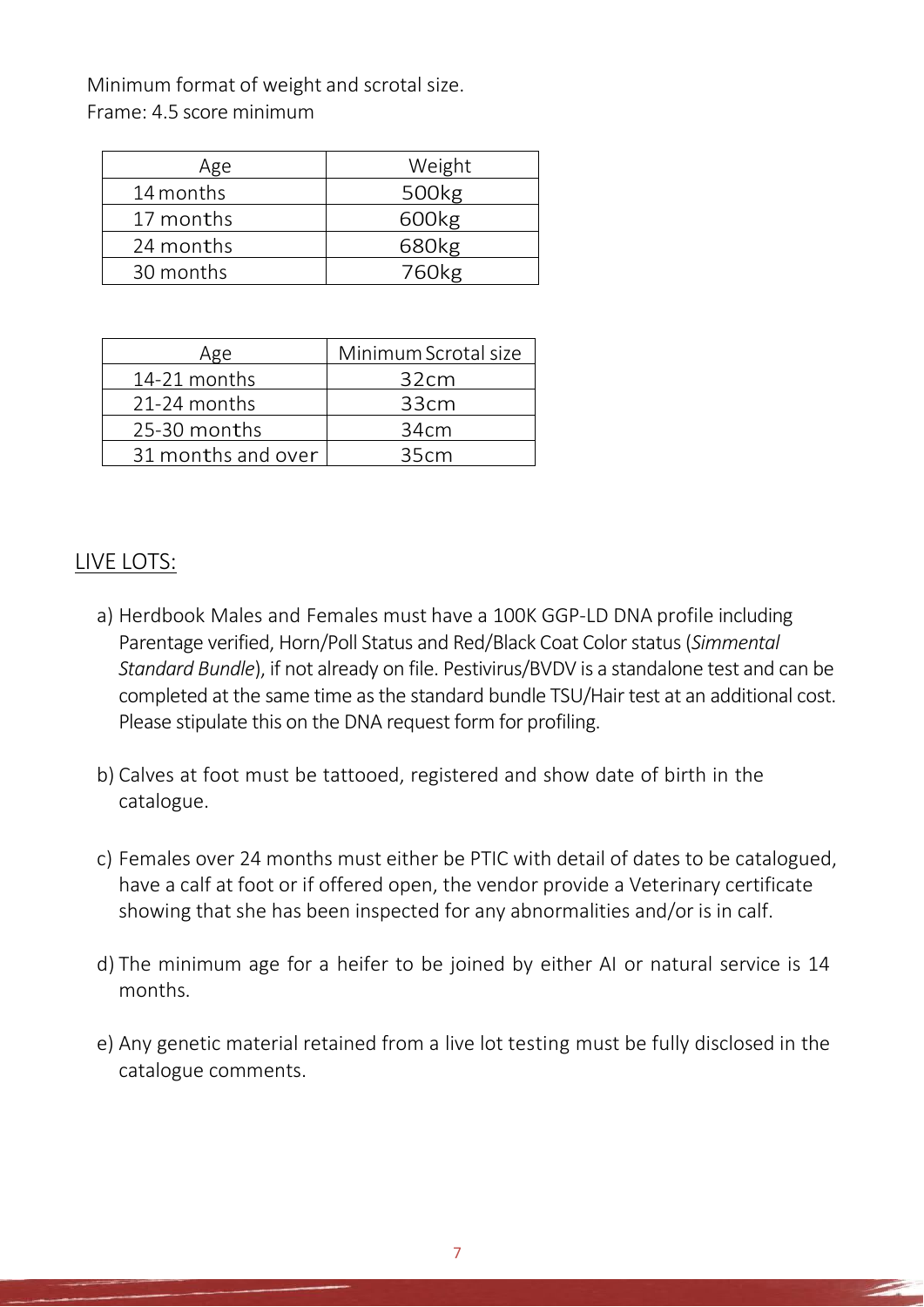Minimum format of weight and scrotal size. Frame: 4.5 score minimum

| Age       | Weight            |
|-----------|-------------------|
| 14 months | 500 <sub>kg</sub> |
| 17 months | 600kg             |
| 24 months | 680kg             |
| 30 months | 760 <sub>kg</sub> |
|           |                   |

| Age                | Minimum Scrotal size |  |
|--------------------|----------------------|--|
| 14-21 months       | 32cm                 |  |
| 21-24 months       | 33cm                 |  |
| 25-30 months       | 34cm                 |  |
| 31 months and over | 35cm                 |  |

### LIVE LOTS:

- a) Herdbook Males and Females must have a 100K GGP-LD DNA profile including Parentage verified, Horn/Poll Status and Red/Black Coat Colorstatus(*Simmental Standard Bundle*), if not already on file. Pestivirus/BVDV is a standalone test and can be completed at the same time as the standard bundle TSU/Hair test at an additional cost. Please stipulate this on the DNA request form for profiling.
- b) Calves at foot must be tattooed, registered and show date of birth in the catalogue.
- c) Females over 24 months must either be PTIC with detail of dates to be catalogued, have a calf at foot or if offered open, the vendor provide a Veterinary certificate showing that she has been inspected for any abnormalities and/or is in calf.
- d) The minimum age for a heifer to be joined by either AI or natural service is 14 months.
- e) Any genetic material retained from a live lot testing must be fully disclosed in the catalogue comments.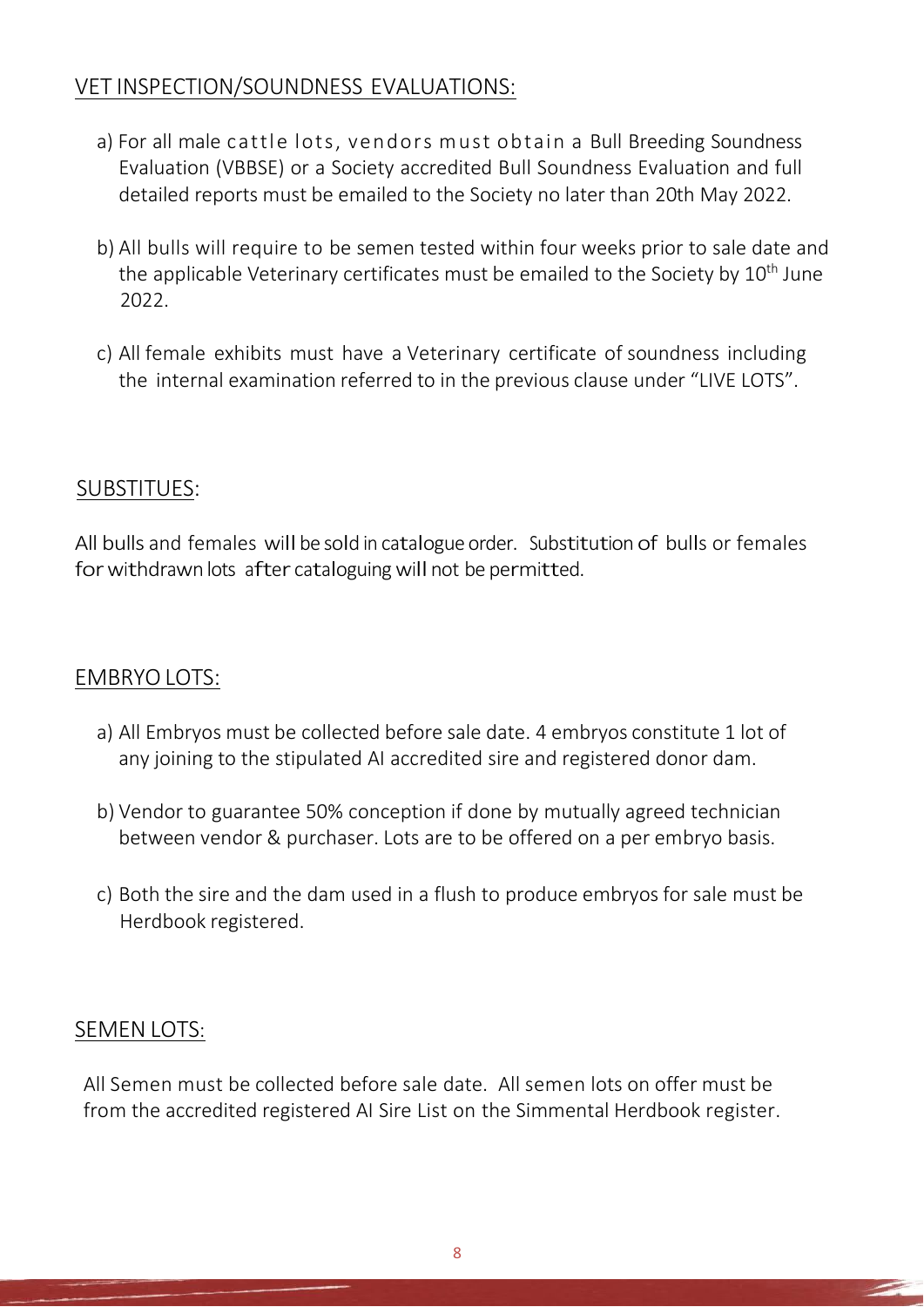# VET INSPECTION/SOUNDNESS EVALUATIONS:

- a) For all male cattle lots, vendors must obtain a Bull Breeding Soundness Evaluation (VBBSE) or a Society accredited Bull Soundness Evaluation and full detailed reports must be emailed to the Society no later than 20th May 2022.
- b) All bulls will require to be semen tested within four weeks prior to sale date and the applicable Veterinary certificates must be emailed to the Society by 10<sup>th</sup> June 2022.
- c) All female exhibits must have a Veterinary certificate of soundness including the internal examination referred to in the previous clause under "LIVE LOTS".

## SUBSTITUES:

All bulls and females will be sold in catalogue order. Substitution of bulls or females for withdrawn lots after cataloguing will not be permitted.

## EMBRYOLOTS:

- a) All Embryos must be collected before sale date. 4 embryos constitute 1 lot of any joining to the stipulated AI accredited sire and registered donor dam.
- b) Vendor to guarantee 50% conception if done by mutually agreed technician between vendor & purchaser. Lots are to be offered on a per embryo basis.
- c) Both the sire and the dam used in a flush to produce embryos for sale must be Herdbook registered.

### SEMEN LOTS:

All Semen must be collected before sale date. All semen lots on offer must be from the accredited registered AI Sire List on the Simmental Herdbook register.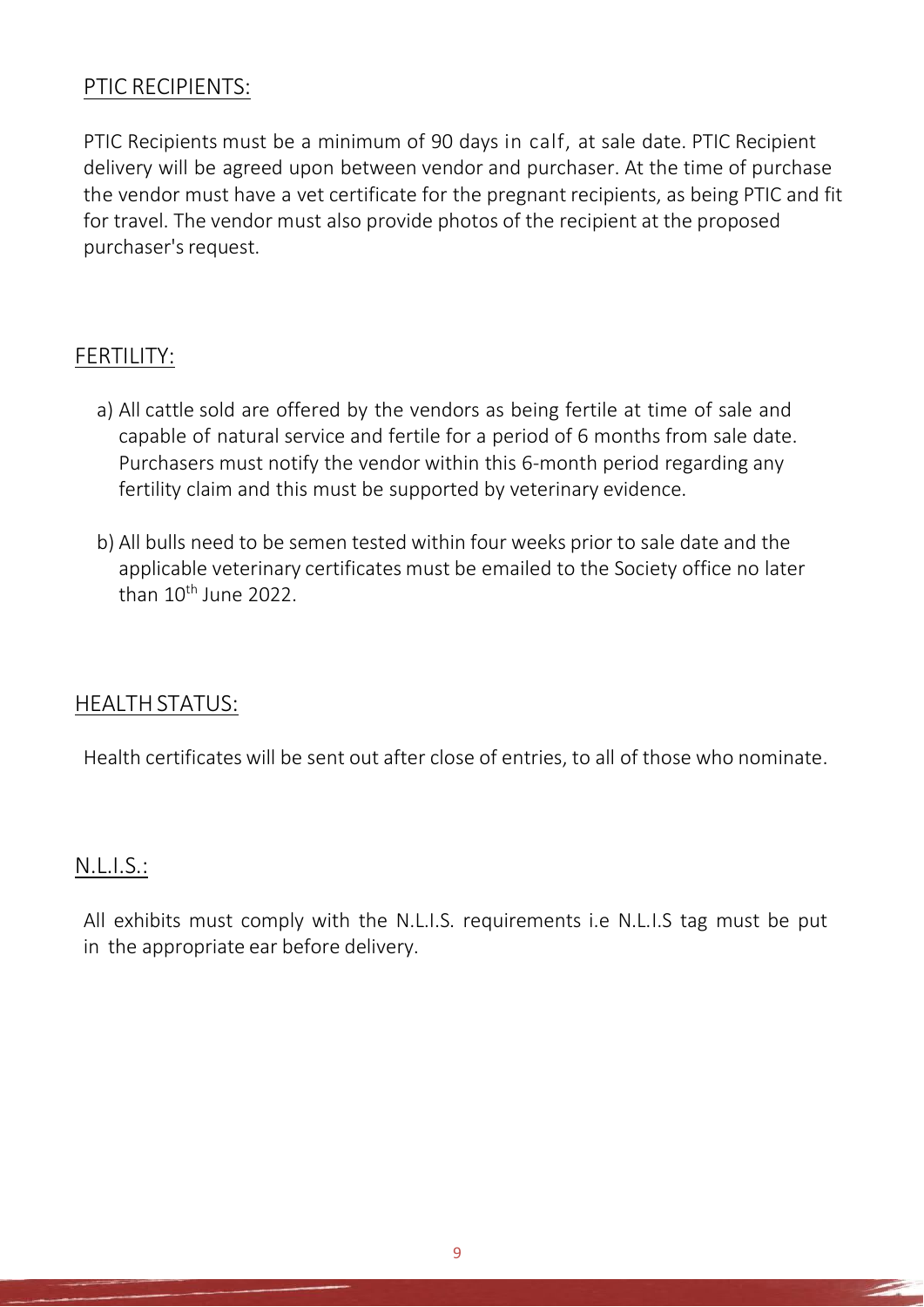## PTIC RECIPIENTS:

PTIC Recipients must be a minimum of 90 days in calf, at sale date. PTIC Recipient delivery will be agreed upon between vendor and purchaser. At the time of purchase the vendor must have a vet certificate for the pregnant recipients, as being PTIC and fit for travel. The vendor must also provide photos of the recipient at the proposed purchaser's request.

## FERTILITY:

- a) All cattle sold are offered by the vendors as being fertile at time of sale and capable of natural service and fertile for a period of 6 months from sale date. Purchasers must notify the vendor within this 6-month period regarding any fertility claim and this must be supported by veterinary evidence.
- b) All bulls need to be semen tested within four weeks prior to sale date and the applicable veterinary certificates must be emailed to the Society office no later than 10<sup>th</sup> June 2022.

### HEALTHSTATUS:

Health certificates will be sent out after close of entries, to all of those who nominate.

#### N.L.I.S.:

All exhibits must comply with the N.L.I.S. requirements i.e N.L.I.S tag must be put in the appropriate ear before delivery.